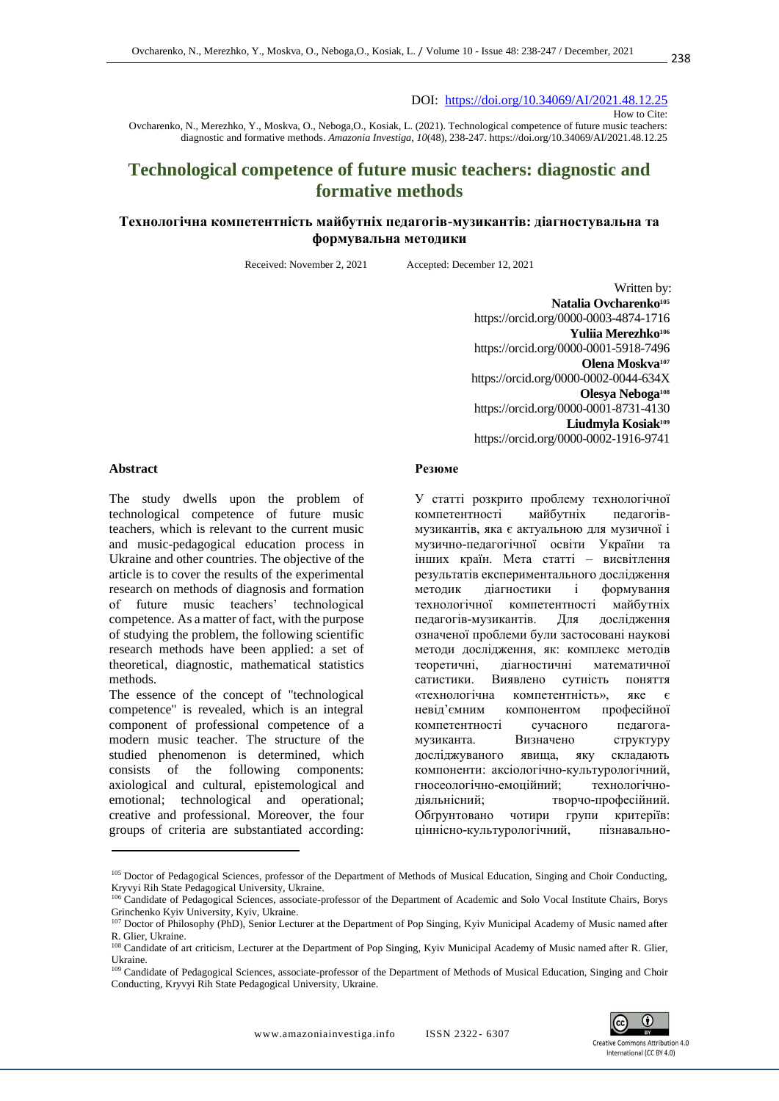238

DOI: <https://doi.org/10.34069/AI/2021.48.12.25>

How to Cite:

Ovcharenko, N., Merezhko, Y., Moskva, O., Neboga,O., Kosiak, L. (2021). Technological competence of future music teachers: diagnostic and formative methods. *Amazonia Investiga*, *10*(48), 238-247. https://doi.org/10.34069/AI/2021.48.12.25

# **Technological competence of future music teachers: diagnostic and formative methods**

## **Технологічна компетентність майбутніх педагогів-музикантів: діагностувальна та формувальна методики**

Received: November 2, 2021 Accepted: December 12, 2021

Written by: **Natalia Ovcharenko<sup>105</sup>** https://orcid.org/0000-0003-4874-1716  **Yuliia Merezhko<sup>106</sup>** https://orcid.org/0000-0001-5918-7496 **Olena Moskva<sup>107</sup>** https://orcid.org/0000-0002-0044-634X **Olesya Neboga<sup>108</sup>** https://orcid.org/0000-0001-8731-4130 **Liudmyla Kosiak<sup>109</sup>** https://orcid.org/0000-0002-1916-9741

#### **Abstract**

The study dwells upon the problem of technological competence of future music teachers, which is relevant to the current music and music-pedagogical education process in Ukraine and other countries. The objective of the article is to cover the results of the experimental research on methods of diagnosis and formation of future music teachers' technological competence. As a matter of fact, with the purpose of studying the problem, the following scientific research methods have been applied: a set of theoretical, diagnostic, mathematical statistics methods.

The essence of the concept of "technological competence" is revealed, which is an integral component of professional competence of a modern music teacher. The structure of the studied phenomenon is determined, which consists of the following components: axiological and cultural, epistemological and emotional; technological and operational; creative and professional. Moreover, the four groups of criteria are substantiated according:

#### **Резюме**

У статті розкрито проблему технологічної компетентності майбутніх педагогівмузикантів, яка є актуальною для музичної і музично-педагогічної освіти України та інших країн. Мета статті – висвітлення результатів експериментального дослідження методик діагностики і формування технологічної компетентності майбутніх педагогів-музикантів. Для дослідження означеної проблеми були застосовані наукові методи дослідження, як: комплекс методів теоретичні, діагностичні математичної сатистики. Виявлено сутність поняття «технологічна компетентність», яке є невід'ємним компонентом професійної компетентності сучасного педагогамузиканта. Визначено структуру досліджуваного явища, яку складають компоненти: аксіологічно-культурологічний, гносеологічно-емоційний; технологічнодіяльнісний; творчо-професійний. Обґрунтовано чотири групи критеріїв: ціннісно-культурологічний, пізнавально-



<sup>&</sup>lt;sup>105</sup> Doctor of Pedagogical Sciences, professor of the Department of Methods of Musical Education, Singing and Choir Conducting, Kryvyi Rih State Pedagogical University, Ukraine.

<sup>&</sup>lt;sup>106</sup> Candidate of Pedagogical Sciences, associate-professor of the Department of Academic and Solo Vocal Institute Chairs, Borys Grinchenko Kyiv University, Kyiv, Ukraine.

<sup>&</sup>lt;sup>107</sup> Doctor of Philosophy (PhD), Senior Lecturer at the Department of Pop Singing, Kyiv Municipal Academy of Music named after R. Glier, Ukraine.

<sup>&</sup>lt;sup>108</sup> Candidate of art criticism, Lecturer at the Department of Pop Singing, Kyiv Municipal Academy of Music named after R. Glier, Ukraine.

<sup>109</sup> Candidate of Pedagogical Sciences, associate-professor of the Department of Methods of Musical Education, Singing and Choir Conducting, Kryvyi Rih State Pedagogical University, Ukraine.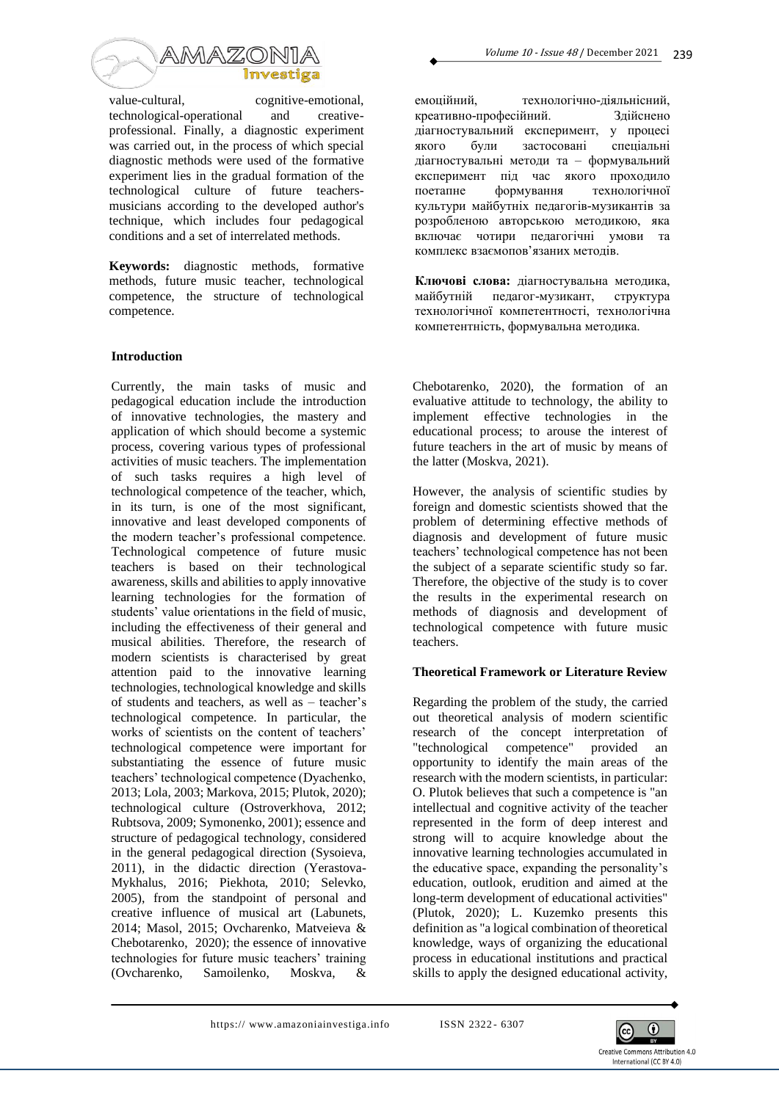

value-cultural, cognitive-emotional, technological-operational and creativeprofessional. Finally, a diagnostic experiment was carried out, in the process of which special diagnostic methods were used of the formative experiment lies in the gradual formation of the technological culture of future teachersmusicians according to the developed author's technique, which includes four pedagogical conditions and a set of interrelated methods.

**Keywords:** diagnostic methods, formative methods, future music teacher, technological competence, the structure of technological competence.

## **Introduction**

Currently, the main tasks of music and pedagogical education include the introduction of innovative technologies, the mastery and application of which should become a systemic process, covering various types of professional activities of music teachers. The implementation of such tasks requires a high level of technological competence of the teacher, which, in its turn, is one of the most significant, innovative and least developed components of the modern teacher's professional competence. Technological competence of future music teachers is based on their technological awareness, skills and abilities to apply innovative learning technologies for the formation of students' value orientations in the field of music, including the effectiveness of their general and musical abilities. Therefore, the research of modern scientists is characterised by great attention paid to the innovative learning technologies, technological knowledge and skills of students and teachers, as well as – teacher's technological competence. In particular, the works of scientists on the content of teachers' technological competence were important for substantiating the essence of future music teachers' technological competence (Dyachenko, 2013; Lola, 2003; Markova, 2015; Plutok, 2020); technological culture (Ostroverkhova, 2012; Rubtsova, 2009; Symonenko, 2001); essence and structure of pedagogical technology, considered in the general pedagogical direction (Sysoieva, 2011), in the didactic direction (Yerastova-Mykhalus, 2016; Piekhota, 2010; Selevko, 2005), from the standpoint of personal and creative influence of musical art (Labunets, 2014; Masol, 2015; Ovcharenko, Matveieva & Chebotarenko, 2020); the essence of innovative technologies for future music teachers' training (Ovcharenko, Samoilenko, Moskva, &

емоційний, технологічно-діяльнісний, креативно-професійний. Здійснено діагностувальний експеримент, у процесі якого були застосовані спеціальні діагностувальні методи та – формувальний експеримент під час якого проходило поетапне формування технологічної культури майбутніх педагогів-музикантів за розробленою авторською методикою, яка включає чотири педагогічні умови та комплекс взаємопов'язаних методів.

**Ключові слова:** діагностувальна методика, майбутній педагог-музикант, структура технологічної компетентності, технологічна компетентність, формувальна методика.

Chebotarenko, 2020), the formation of an evaluative attitude to technology, the ability to implement effective technologies in the educational process; to arouse the interest of future teachers in the art of music by means of the latter (Moskva, 2021).

However, the analysis of scientific studies by foreign and domestic scientists showed that the problem of determining effective methods of diagnosis and development of future music teachers' technological competence has not been the subject of a separate scientific study so far. Therefore, the objective of the study is to cover the results in the experimental research on methods of diagnosis and development of technological competence with future music teachers.

#### **Theoretical Framework or Literature Review**

Regarding the problem of the study, the carried out theoretical analysis of modern scientific research of the concept interpretation of "technological competence" provided an opportunity to identify the main areas of the research with the modern scientists, in particular: O. Plutok believes that such a competence is "an intellectual and cognitive activity of the teacher represented in the form of deep interest and strong will to acquire knowledge about the innovative learning technologies accumulated in the educative space, expanding the personality's education, outlook, erudition and aimed at the long-term development of educational activities" (Plutok, 2020); L. Kuzemko presents this definition as "a logical combination of theoretical knowledge, ways of organizing the educational process in educational institutions and practical skills to apply the designed educational activity,

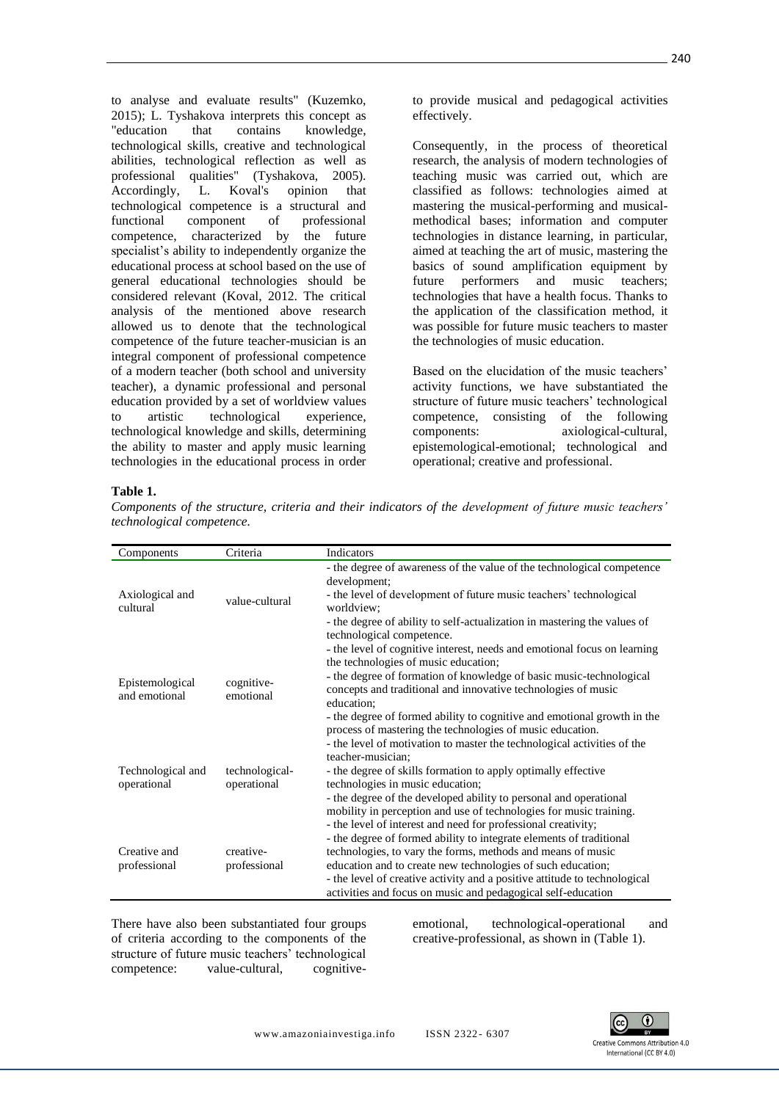to analyse and evaluate results" (Kuzemko, 2015); L. Tyshakova interprets this concept as "education that contains knowledge, technological skills, creative and technological abilities, technological reflection as well as professional qualities" (Tyshakova, 2005). Accordingly, L. Koval's opinion that technological competence is a structural and functional component of professional competence, characterized by the future specialist's ability to independently organize the educational process at school based on the use of general educational technologies should be considered relevant (Koval, 2012. The critical analysis of the mentioned above research allowed us to denote that the technological competence of the future teacher-musician is an integral component of professional competence of a modern teacher (both school and university teacher), a dynamic professional and personal education provided by a set of worldview values to artistic technological experience, technological knowledge and skills, determining the ability to master and apply music learning technologies in the educational process in order to provide musical and pedagogical activities effectively.

Consequently, in the process of theoretical research, the analysis of modern technologies of teaching music was carried out, which are classified as follows: technologies aimed at mastering the musical-performing and musicalmethodical bases; information and computer technologies in distance learning, in particular, aimed at teaching the art of music, mastering the basics of sound amplification equipment by future performers and music teachers; technologies that have a health focus. Thanks to the application of the classification method, it was possible for future music teachers to master the technologies of music education.

Based on the elucidation of the music teachers' activity functions, we have substantiated the structure of future music teachers' technological competence, consisting of the following components: axiological-cultural, epistemological-emotional; technological and operational; creative and professional.

#### **Table 1.**

*Components of the structure, criteria and their indicators of the development of future music teachers' technological competence.*

| Components                       | Criteria                      | Indicators                                                                                                                                                                                                                                                                                                                                                                                                                                                                                |
|----------------------------------|-------------------------------|-------------------------------------------------------------------------------------------------------------------------------------------------------------------------------------------------------------------------------------------------------------------------------------------------------------------------------------------------------------------------------------------------------------------------------------------------------------------------------------------|
| Axiological and<br>cultural      | value-cultural                | - the degree of awareness of the value of the technological competence<br>development;<br>- the level of development of future music teachers' technological<br>worldview;<br>- the degree of ability to self-actualization in mastering the values of<br>technological competence.                                                                                                                                                                                                       |
| Epistemological<br>and emotional | cognitive-<br>emotional       | - the level of cognitive interest, needs and emotional focus on learning<br>the technologies of music education;<br>- the degree of formation of knowledge of basic music-technological<br>concepts and traditional and innovative technologies of music<br>education:<br>- the degree of formed ability to cognitive and emotional growth in the<br>process of mastering the technologies of music education.<br>- the level of motivation to master the technological activities of the |
| Technological and<br>operational | technological-<br>operational | teacher-musician:<br>- the degree of skills formation to apply optimally effective<br>technologies in music education;<br>- the degree of the developed ability to personal and operational<br>mobility in perception and use of technologies for music training.<br>- the level of interest and need for professional creativity;                                                                                                                                                        |
| Creative and<br>professional     | creative-<br>professional     | - the degree of formed ability to integrate elements of traditional<br>technologies, to vary the forms, methods and means of music<br>education and to create new technologies of such education;<br>- the level of creative activity and a positive attitude to technological<br>activities and focus on music and pedagogical self-education                                                                                                                                            |

There have also been substantiated four groups of criteria according to the components of the structure of future music teachers' technological competence: value-cultural, cognitive-

emotional, technological-operational and creative-professional, as shown in (Table 1).

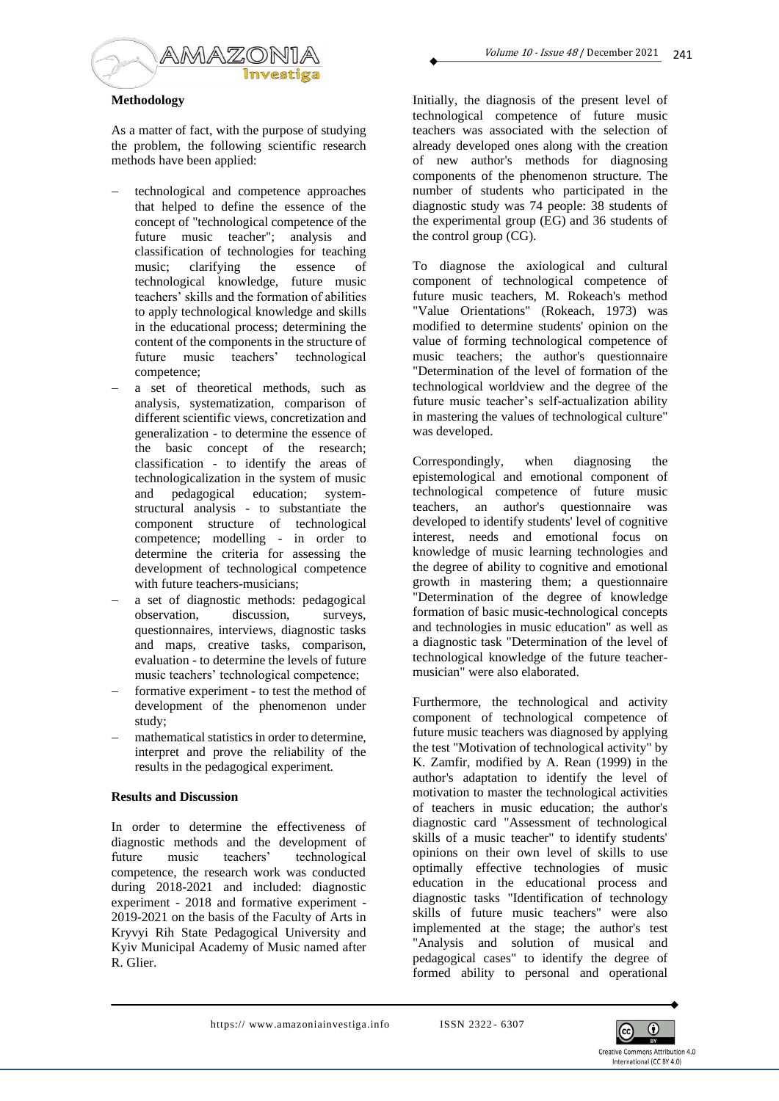

#### **Methodology**

As a matter of fact, with the purpose of studying the problem, the following scientific research methods have been applied:

- − technological and competence approaches that helped to define the essence of the concept of "technological competence of the future music teacher"; analysis and classification of technologies for teaching music; clarifying the essence of technological knowledge, future music teachers' skills and the formation of abilities to apply technological knowledge and skills in the educational process; determining the content of the components in the structure of future music teachers' technological competence;
- a set of theoretical methods, such as analysis, systematization, comparison of different scientific views, concretization and generalization - to determine the essence of the basic concept of the research; classification - to identify the areas of technologicalization in the system of music<br>and pedagogical education; systempedagogical education; systemstructural analysis - to substantiate the component structure of technological competence; modelling - in order to determine the criteria for assessing the development of technological competence with future teachers-musicians;
- a set of diagnostic methods: pedagogical observation, discussion, surveys, questionnaires, interviews, diagnostic tasks and maps, creative tasks, comparison, evaluation - to determine the levels of future music teachers' technological competence;
- formative experiment to test the method of development of the phenomenon under study;
- mathematical statistics in order to determine, interpret and prove the reliability of the results in the pedagogical experiment.

## **Results and Discussion**

In order to determine the effectiveness of diagnostic methods and the development of future music teachers' technological competence, the research work was conducted during 2018-2021 and included: diagnostic experiment - 2018 and formative experiment - 2019-2021 on the basis of the Faculty of Arts in Kryvyi Rih State Pedagogical University and Kyiv Municipal Academy of Music named after R. Glier.

Initially, the diagnosis of the present level of technological competence of future music teachers was associated with the selection of already developed ones along with the creation of new author's methods for diagnosing components of the phenomenon structure. The number of students who participated in the diagnostic study was 74 people: 38 students of the experimental group (EG) and 36 students of the control group (CG).

To diagnose the axiological and cultural component of technological competence of future music teachers, M. Rokeach's method "Value Orientations" (Rokeach, 1973) was modified to determine students' opinion on the value of forming technological competence of music teachers; the author's questionnaire "Determination of the level of formation of the technological worldview and the degree of the future music teacher's self-actualization ability in mastering the values of technological culture" was developed.

Correspondingly, when diagnosing the epistemological and emotional component of technological competence of future music teachers, an author's questionnaire was developed to identify students' level of cognitive interest, needs and emotional focus on knowledge of music learning technologies and the degree of ability to cognitive and emotional growth in mastering them; a questionnaire "Determination of the degree of knowledge formation of basic music-technological concepts and technologies in music education" as well as a diagnostic task "Determination of the level of technological knowledge of the future teachermusician" were also elaborated.

Furthermore, the technological and activity component of technological competence of future music teachers was diagnosed by applying the test "Motivation of technological activity" by K. Zamfir, modified by A. Rean (1999) in the author's adaptation to identify the level of motivation to master the technological activities of teachers in music education; the author's diagnostic card "Assessment of technological skills of a music teacher" to identify students' opinions on their own level of skills to use optimally effective technologies of music education in the educational process and diagnostic tasks "Identification of technology skills of future music teachers" were also implemented at the stage; the author's test "Analysis and solution of musical and pedagogical cases" to identify the degree of formed ability to personal and operational

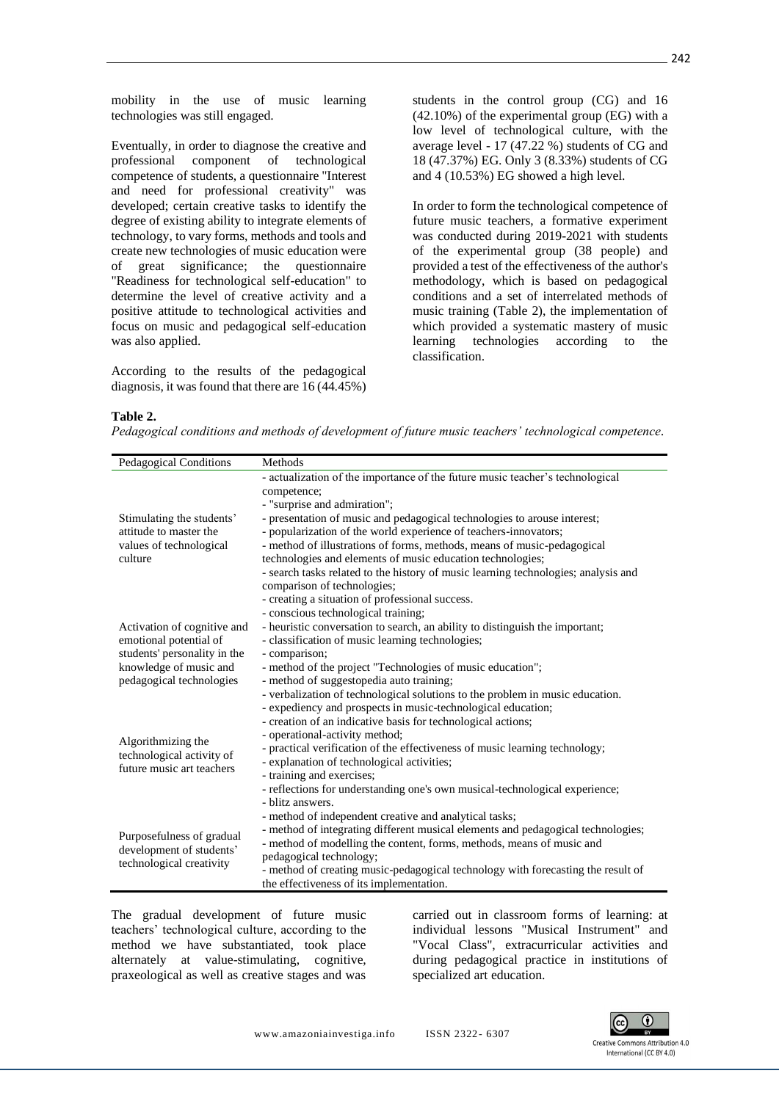mobility in the use of music learning technologies was still engaged.

Eventually, in order to diagnose the creative and professional component of technological competence of students, a questionnaire "Interest and need for professional creativity" was developed; certain creative tasks to identify the degree of existing ability to integrate elements of technology, to vary forms, methods and tools and create new technologies of music education were of great significance; the questionnaire "Readiness for technological self-education" to determine the level of creative activity and a positive attitude to technological activities and focus on music and pedagogical self-education was also applied.

According to the results of the pedagogical diagnosis, it was found that there are 16 (44.45%)

students in the control group (CG) and 16 (42.10%) of the experimental group (EG) with a low level of technological culture, with the average level - 17 (47.22 %) students of CG and 18 (47.37%) EG. Only 3 (8.33%) students of CG and 4 (10.53%) EG showed a high level.

In order to form the technological competence of future music teachers, a formative experiment was conducted during 2019-2021 with students of the experimental group (38 people) and provided a test of the effectiveness of the author's methodology, which is based on pedagogical conditions and a set of interrelated methods of music training (Table 2), the implementation of which provided a systematic mastery of music learning technologies according to the classification.

#### **Table 2.**

*Pedagogical conditions and methods of development of future music teachers' technological competence.*

| Pedagogical Conditions                                                                                                                      | Methods                                                                                                                                      |  |  |  |  |
|---------------------------------------------------------------------------------------------------------------------------------------------|----------------------------------------------------------------------------------------------------------------------------------------------|--|--|--|--|
|                                                                                                                                             | - actualization of the importance of the future music teacher's technological<br>competence;<br>- "surprise and admiration";                 |  |  |  |  |
| Stimulating the students'<br>attitude to master the<br>values of technological<br>culture                                                   | - presentation of music and pedagogical technologies to arouse interest;<br>- popularization of the world experience of teachers-innovators; |  |  |  |  |
|                                                                                                                                             | - method of illustrations of forms, methods, means of music-pedagogical                                                                      |  |  |  |  |
|                                                                                                                                             | technologies and elements of music education technologies;                                                                                   |  |  |  |  |
|                                                                                                                                             | - search tasks related to the history of music learning technologies; analysis and<br>comparison of technologies;                            |  |  |  |  |
|                                                                                                                                             | - creating a situation of professional success.                                                                                              |  |  |  |  |
| Activation of cognitive and<br>emotional potential of<br>students' personality in the<br>knowledge of music and<br>pedagogical technologies | - conscious technological training;                                                                                                          |  |  |  |  |
|                                                                                                                                             | - heuristic conversation to search, an ability to distinguish the important;<br>- classification of music learning technologies;             |  |  |  |  |
|                                                                                                                                             | - comparison;                                                                                                                                |  |  |  |  |
|                                                                                                                                             | - method of the project "Technologies of music education";                                                                                   |  |  |  |  |
|                                                                                                                                             | - method of suggestopedia auto training;<br>- verbalization of technological solutions to the problem in music education.                    |  |  |  |  |
|                                                                                                                                             | - expediency and prospects in music-technological education;                                                                                 |  |  |  |  |
|                                                                                                                                             | - creation of an indicative basis for technological actions;                                                                                 |  |  |  |  |
| Algorithmizing the                                                                                                                          | - operational-activity method;<br>- practical verification of the effectiveness of music learning technology;                                |  |  |  |  |
| technological activity of<br>future music art teachers                                                                                      | - explanation of technological activities;                                                                                                   |  |  |  |  |
|                                                                                                                                             | - training and exercises;                                                                                                                    |  |  |  |  |
|                                                                                                                                             | - reflections for understanding one's own musical-technological experience;<br>- blitz answers.                                              |  |  |  |  |
|                                                                                                                                             | - method of independent creative and analytical tasks;                                                                                       |  |  |  |  |
| Purposefulness of gradual                                                                                                                   | - method of integrating different musical elements and pedagogical technologies;                                                             |  |  |  |  |
| development of students'<br>technological creativity                                                                                        | - method of modelling the content, forms, methods, means of music and<br>pedagogical technology;                                             |  |  |  |  |
|                                                                                                                                             | - method of creating music-pedagogical technology with forecasting the result of                                                             |  |  |  |  |
|                                                                                                                                             | the effectiveness of its implementation.                                                                                                     |  |  |  |  |

The gradual development of future music teachers' technological culture, according to the method we have substantiated, took place alternately at value-stimulating, cognitive, praxeological as well as creative stages and was

carried out in classroom forms of learning: at individual lessons "Musical Instrument" and "Vocal Class", extracurricular activities and during pedagogical practice in institutions of specialized art education.

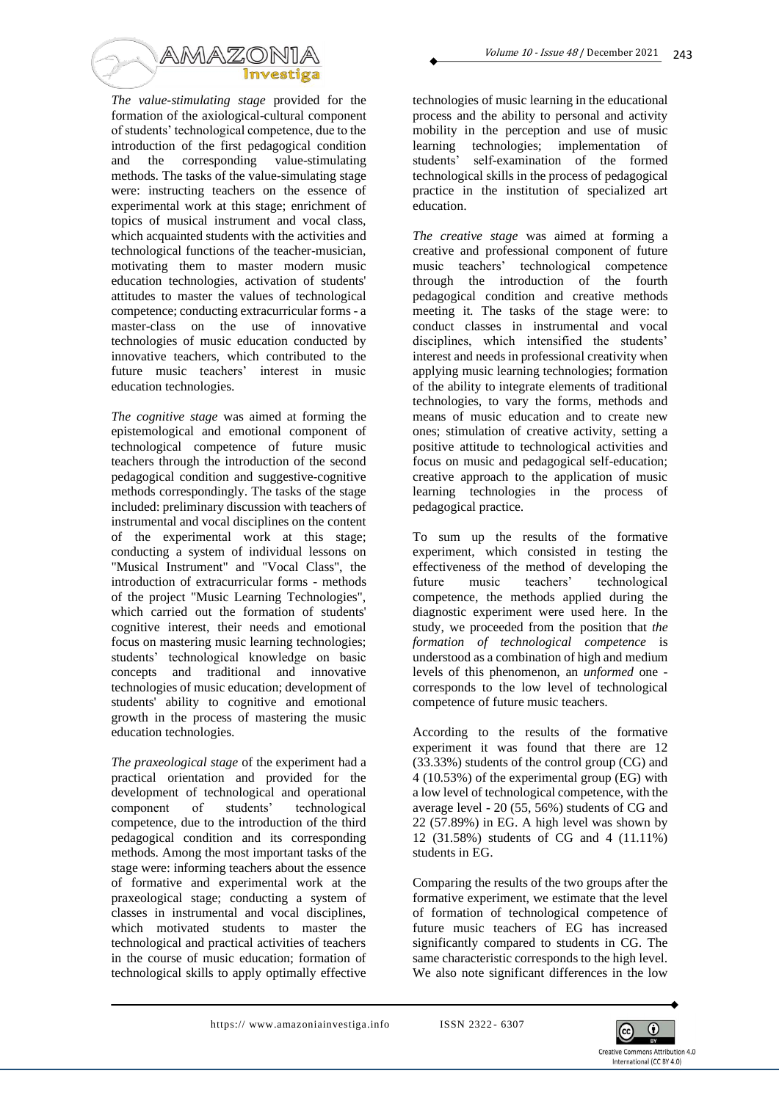

*The value-stimulating stage* provided for the formation of the axiological-cultural component of students' technological competence, due to the introduction of the first pedagogical condition and the corresponding value-stimulating methods. The tasks of the value-simulating stage were: instructing teachers on the essence of experimental work at this stage; enrichment of topics of musical instrument and vocal class, which acquainted students with the activities and technological functions of the teacher-musician, motivating them to master modern music education technologies, activation of students' attitudes to master the values of technological competence; conducting extracurricular forms - a master-class on the use of innovative technologies of music education conducted by innovative teachers, which contributed to the future music teachers' interest in music education technologies.

*The cognitive stage* was aimed at forming the epistemological and emotional component of technological competence of future music teachers through the introduction of the second pedagogical condition and suggestive-cognitive methods correspondingly. The tasks of the stage included: preliminary discussion with teachers of instrumental and vocal disciplines on the content of the experimental work at this stage; conducting a system of individual lessons on "Musical Instrument" and "Vocal Class", the introduction of extracurricular forms - methods of the project "Music Learning Technologies", which carried out the formation of students' cognitive interest, their needs and emotional focus on mastering music learning technologies; students' technological knowledge on basic concepts and traditional and innovative technologies of music education; development of students' ability to cognitive and emotional growth in the process of mastering the music education technologies.

*The praxeological stage* of the experiment had a practical orientation and provided for the development of technological and operational component of students' technological competence, due to the introduction of the third pedagogical condition and its corresponding methods. Among the most important tasks of the stage were: informing teachers about the essence of formative and experimental work at the praxeological stage; conducting a system of classes in instrumental and vocal disciplines, which motivated students to master the technological and practical activities of teachers in the course of music education; formation of technological skills to apply optimally effective

technologies of music learning in the educational process and the ability to personal and activity mobility in the perception and use of music learning technologies; implementation of students' self-examination of the formed technological skills in the process of pedagogical practice in the institution of specialized art education.

*The creative stage* was aimed at forming a creative and professional component of future<br>music teachers' technological competence technological competence through the introduction of the fourth pedagogical condition and creative methods meeting it. The tasks of the stage were: to conduct classes in instrumental and vocal disciplines, which intensified the students' interest and needs in professional creativity when applying music learning technologies; formation of the ability to integrate elements of traditional technologies, to vary the forms, methods and means of music education and to create new ones; stimulation of creative activity, setting a positive attitude to technological activities and focus on music and pedagogical self-education; creative approach to the application of music learning technologies in the process of pedagogical practice.

To sum up the results of the formative experiment, which consisted in testing the effectiveness of the method of developing the<br>future music teachers' technological future music teachers' technological competence, the methods applied during the diagnostic experiment were used here. In the study, we proceeded from the position that *the formation of technological competence* is understood as a combination of high and medium levels of this phenomenon, an *unformed* one corresponds to the low level of technological competence of future music teachers.

According to the results of the formative experiment it was found that there are 12 (33.33%) students of the control group (CG) and 4 (10.53%) of the experimental group (EG) with a low level of technological competence, with the average level - 20 (55, 56%) students of CG and 22 (57.89%) in EG. A high level was shown by 12 (31.58%) students of CG and 4 (11.11%) students in EG.

Comparing the results of the two groups after the formative experiment, we estimate that the level of formation of technological competence of future music teachers of EG has increased significantly compared to students in CG. The same characteristic corresponds to the high level. We also note significant differences in the low

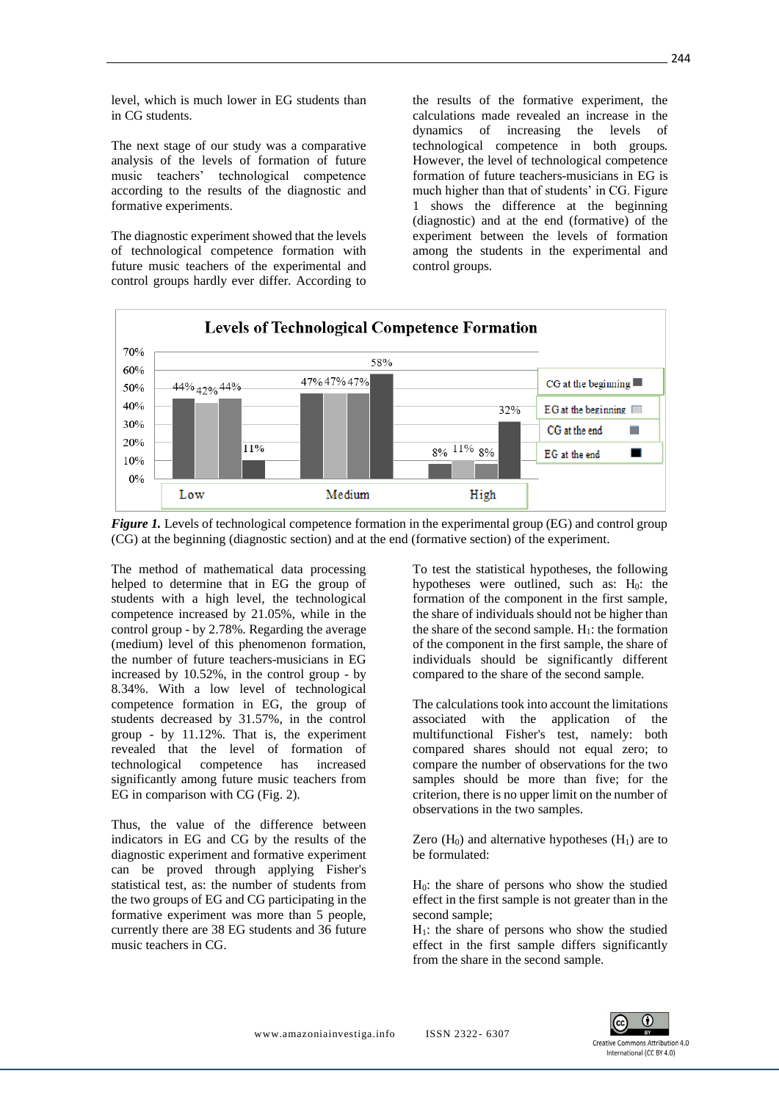level, which is much lower in EG students than in CG students.

The next stage of our study was a comparative analysis of the levels of formation of future music teachers' technological competence according to the results of the diagnostic and formative experiments.

The diagnostic experiment showed that the levels of technological competence formation with future music teachers of the experimental and control groups hardly ever differ. According to

the results of the formative experiment, the calculations made revealed an increase in the dynamics of increasing the levels of technological competence in both groups. However, the level of technological competence formation of future teachers-musicians in EG is much higher than that of students' in CG. Figure 1 shows the difference at the beginning (diagnostic) and at the end (formative) of the experiment between the levels of formation among the students in the experimental and control groups.





The method of mathematical data processing helped to determine that in EG the group of students with a high level, the technological competence increased by 21.05%, while in the control group - by 2.78%. Regarding the average (medium) level of this phenomenon formation, the number of future teachers-musicians in EG increased by 10.52%, in the control group - by 8.34%. With a low level of technological competence formation in EG, the group of students decreased by 31.57%, in the control group - by 11.12%. That is, the experiment revealed that the level of formation of technological competence has increased significantly among future music teachers from EG in comparison with CG (Fig. 2).

Thus, the value of the difference between indicators in EG and CG by the results of the diagnostic experiment and formative experiment can be proved through applying Fisher's statistical test, as: the number of students from the two groups of EG and CG participating in the formative experiment was more than 5 people, currently there are 38 EG students and 36 future music teachers in CG.

To test the statistical hypotheses, the following hypotheses were outlined, such as:  $H_0$ : the formation of the component in the first sample, the share of individuals should not be higher than the share of the second sample.  $H_1$ : the formation of the component in the first sample, the share of individuals should be significantly different compared to the share of the second sample.

The calculations took into account the limitations associated with the application of the multifunctional Fisher's test, namely: both compared shares should not equal zero; to compare the number of observations for the two samples should be more than five; for the criterion, there is no upper limit on the number of observations in the two samples.

Zero  $(H<sub>0</sub>)$  and alternative hypotheses  $(H<sub>1</sub>)$  are to be formulated:

 $H<sub>0</sub>$ : the share of persons who show the studied effect in the first sample is not greater than in the second sample;

 $H<sub>1</sub>$ : the share of persons who show the studied effect in the first sample differs significantly from the share in the second sample.

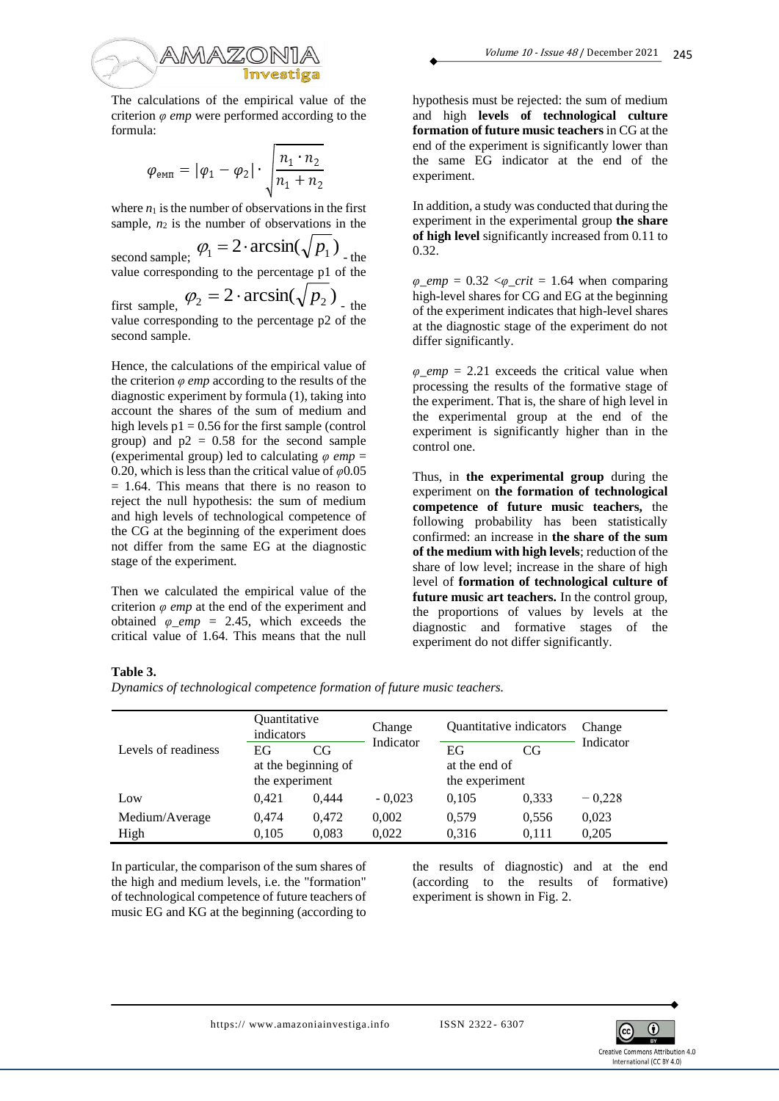

The calculations of the empirical value of the criterion *φ emp* were performed according to the formula:

$$
\varphi_{\text{emm}} = |\varphi_1 - \varphi_2| \cdot \sqrt{\frac{n_1 \cdot n_2}{n_1 + n_2}}
$$

where  $n_1$  is the number of observations in the first sample,  $n_2$  is the number of observations in the

second sample;  $\varphi_1 = 2 \cdot \arcsin(\sqrt{p_1})$  the value corresponding to the percentage p1 of the

first sample,  $\varphi_2 = 2 \cdot \arcsin(\sqrt{p_2})$  the value corresponding to the percentage p2 of the second sample.

Hence, the calculations of the empirical value of the criterion *φ emp* according to the results of the diagnostic experiment by formula (1), taking into account the shares of the sum of medium and high levels  $p1 = 0.56$  for the first sample (control group) and  $p2 = 0.58$  for the second sample (experimental group) led to calculating *φ emp* = 0.20, which is less than the critical value of *φ*0.05  $= 1.64$ . This means that there is no reason to reject the null hypothesis: the sum of medium and high levels of technological competence of the CG at the beginning of the experiment does not differ from the same EG at the diagnostic stage of the experiment.

Then we calculated the empirical value of the criterion *φ emp* at the end of the experiment and obtained  $\varphi_{\text{p}} = 2.45$ , which exceeds the critical value of 1.64. This means that the null

hypothesis must be rejected: the sum of medium and high **levels of technological culture formation of future music teachers** in CG at the end of the experiment is significantly lower than the same EG indicator at the end of the experiment.

In addition, a study was conducted that during the experiment in the experimental group **the share of high level** significantly increased from 0.11 to  $0.32.$ 

 $\varphi$ <sub>emp</sub> = 0.32 < $\varphi$ <sub>c</sub>crit = 1.64 when comparing high-level shares for CG and EG at the beginning of the experiment indicates that high-level shares at the diagnostic stage of the experiment do not differ significantly.

 $\varphi$  emp = 2.21 exceeds the critical value when processing the results of the formative stage of the experiment. That is, the share of high level in the experimental group at the end of the experiment is significantly higher than in the control one.

Thus, in **the experimental group** during the experiment on **the formation of technological competence of future music teachers,** the following probability has been statistically confirmed: an increase in **the share of the sum of the medium with high levels**; reduction of the share of low level; increase in the share of high level of **formation of technological culture of future music art teachers.** In the control group, the proportions of values by levels at the diagnostic and formative stages of the experiment do not differ significantly.

#### **Table 3.**

*Dynamics of technological competence formation of future music teachers.*

|                     | Ouantitative<br>indicators                  |       | Change<br>Indicator | <b>Ouantitative indicators</b>              |       | Change<br>Indicator |
|---------------------|---------------------------------------------|-------|---------------------|---------------------------------------------|-------|---------------------|
| Levels of readiness | EG<br>at the beginning of<br>the experiment | CG    |                     | EG<br>CG<br>at the end of<br>the experiment |       |                     |
| Low                 | 0.421                                       | 0.444 | $-0.023$            | 0.105                                       | 0,333 | $-0.228$            |
| Medium/Average      | 0,474                                       | 0,472 | 0,002               | 0,579                                       | 0,556 | 0,023               |
| High                | 0,105                                       | 0,083 | 0.022               | 0.316                                       | 0.111 | 0.205               |

In particular, the comparison of the sum shares of the high and medium levels, i.e. the "formation" of technological competence of future teachers of music EG and KG at the beginning (according to

the results of diagnostic) and at the end (according to the results of formative) experiment is shown in Fig. 2.

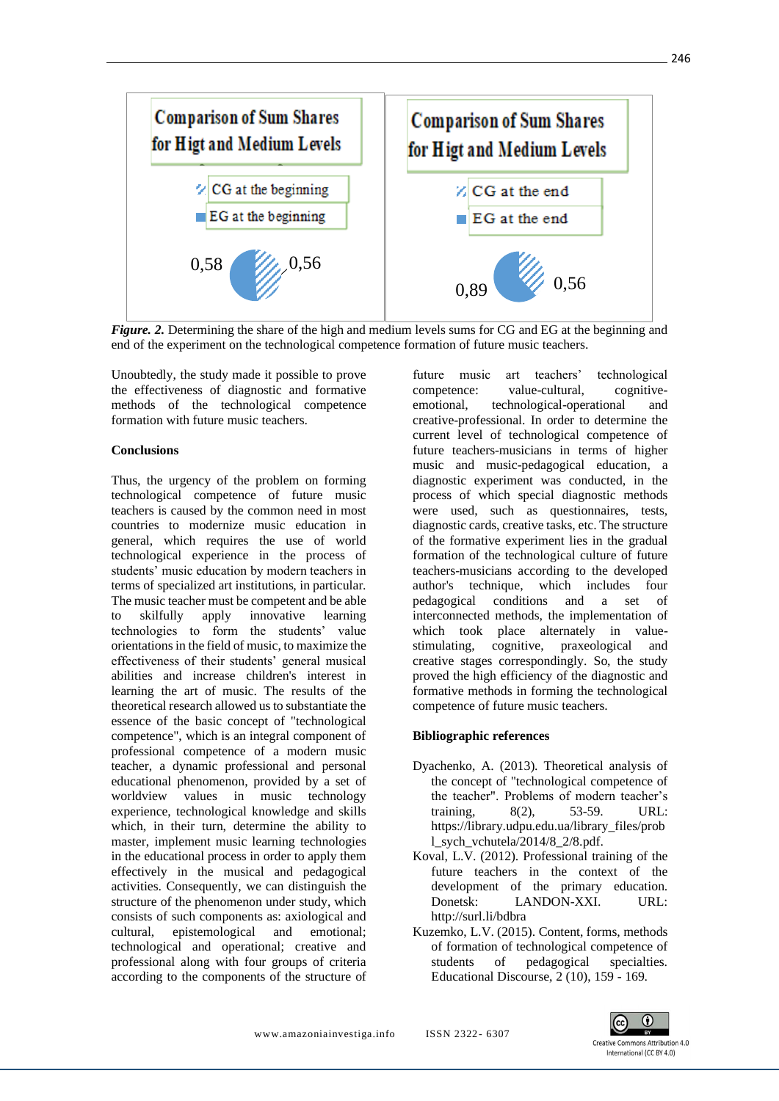

*Figure.* 2. Determining the share of the high and medium levels sums for CG and EG at the beginning and end of the experiment on the technological competence formation of future music teachers.

Unoubtedly, the study made it possible to prove the effectiveness of diagnostic and formative methods of the technological competence formation with future music teachers.

#### **Conclusions**

Thus, the urgency of the problem on forming technological competence of future music teachers is caused by the common need in most countries to modernize music education in general, which requires the use of world technological experience in the process of students' music education by modern teachers in terms of specialized art institutions, in particular. The music teacher must be competent and be able to skilfully apply innovative learning technologies to form the students' value orientations in the field of music, to maximize the effectiveness of their students' general musical abilities and increase children's interest in learning the art of music. The results of the theoretical research allowed us to substantiate the essence of the basic concept of "technological competence", which is an integral component of professional competence of a modern music teacher, a dynamic professional and personal educational phenomenon, provided by a set of worldview values in music technology experience, technological knowledge and skills which, in their turn, determine the ability to master, implement music learning technologies in the educational process in order to apply them effectively in the musical and pedagogical activities. Consequently, we can distinguish the structure of the phenomenon under study, which consists of such components as: axiological and cultural, epistemological and emotional; technological and operational; creative and professional along with four groups of criteria according to the components of the structure of future music art teachers' technological competence: value-cultural, cognitiveemotional, technological-operational and creative-professional. In order to determine the current level of technological competence of future teachers-musicians in terms of higher music and music-pedagogical education, a diagnostic experiment was conducted, in the process of which special diagnostic methods were used, such as questionnaires, tests, diagnostic cards, creative tasks, etc. The structure of the formative experiment lies in the gradual formation of the technological culture of future teachers-musicians according to the developed author's technique, which includes four pedagogical conditions and a set of interconnected methods, the implementation of which took place alternately in valuestimulating, cognitive, praxeological and creative stages correspondingly. So, the study proved the high efficiency of the diagnostic and formative methods in forming the technological competence of future music teachers.

## **Bibliographic references**

- Dyachenko, A. (2013). Theoretical analysis of the concept of "technological competence of the teacher". Problems of modern teacher's training, 8(2), 53-59. URL: https://library.udpu.edu.ua/library\_files/prob l\_sych\_vchutela/2014/8\_2/8.pdf.
- Koval, L.V. (2012). Professional training of the future teachers in the context of the development of the primary education. Donetsk: LANDON-XXI. URL: http://surl.li/bdbra
- Kuzemko, L.V. (2015). Content, forms, methods of formation of technological competence of students of pedagogical specialties. Educational Discourse, 2 (10), 159 - 169.